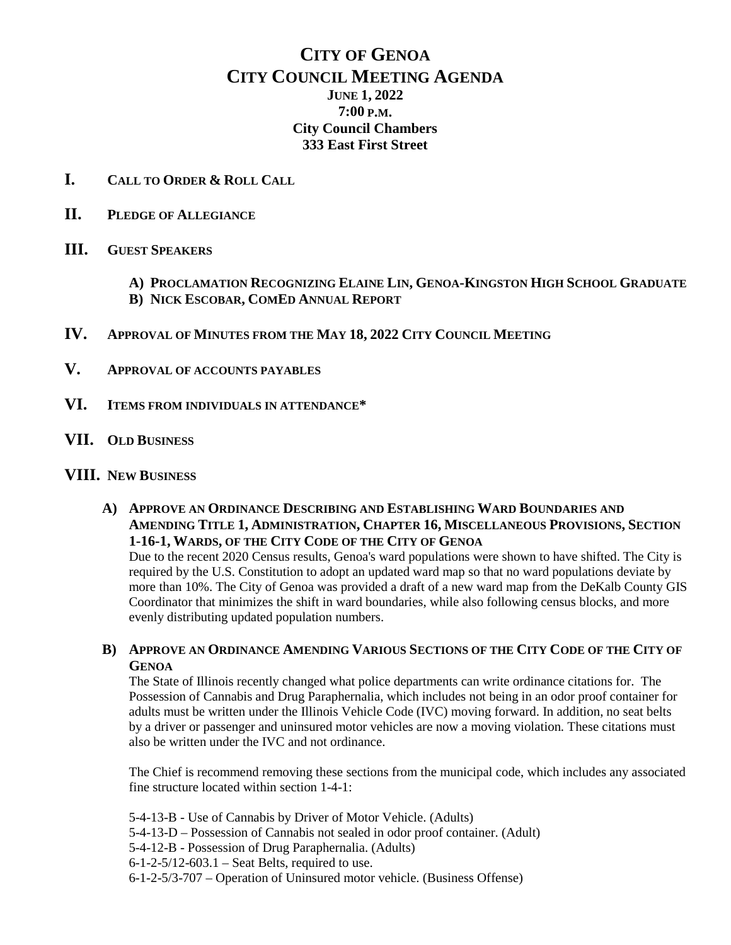## **CITY OF GENOA CITY COUNCIL MEETING AGENDA JUNE 1, 2022 7:00 P.M. City Council Chambers 333 East First Street**

- **I. CALL TO ORDER & ROLL CALL**
- **II. PLEDGE OF ALLEGIANCE**
- **III. GUEST SPEAKERS**
	- **A) PROCLAMATION RECOGNIZING ELAINE LIN, GENOA-KINGSTON HIGH SCHOOL GRADUATE B) NICK ESCOBAR, COMED ANNUAL REPORT**
- **IV. APPROVAL OF MINUTES FROM THE MAY 18, 2022 CITY COUNCIL MEETING**
- **V. APPROVAL OF ACCOUNTS PAYABLES**
- **VI. ITEMS FROM INDIVIDUALS IN ATTENDANCE\***
- **VII. OLD BUSINESS**

## **VIII. NEW BUSINESS**

**A) APPROVE AN ORDINANCE DESCRIBING AND ESTABLISHING WARD BOUNDARIES AND AMENDING TITLE 1, ADMINISTRATION, CHAPTER 16, MISCELLANEOUS PROVISIONS, SECTION 1-16-1, WARDS, OF THE CITY CODE OF THE CITY OF GENOA**

Due to the recent 2020 Census results, Genoa's ward populations were shown to have shifted. The City is required by the U.S. Constitution to adopt an updated ward map so that no ward populations deviate by more than 10%. The City of Genoa was provided a draft of a new ward map from the DeKalb County GIS Coordinator that minimizes the shift in ward boundaries, while also following census blocks, and more evenly distributing updated population numbers.

**B) APPROVE AN ORDINANCE AMENDING VARIOUS SECTIONS OF THE CITY CODE OF THE CITY OF GENOA**

The State of Illinois recently changed what police departments can write ordinance citations for. The Possession of Cannabis and Drug Paraphernalia, which includes not being in an odor proof container for adults must be written under the Illinois Vehicle Code (IVC) moving forward. In addition, no seat belts by a driver or passenger and uninsured motor vehicles are now a moving violation. These citations must also be written under the IVC and not ordinance.

The Chief is recommend removing these sections from the municipal code, which includes any associated fine structure located within section 1-4-1:

5-4-13-B - Use of Cannabis by Driver of Motor Vehicle. (Adults)

- 5-4-13-D Possession of Cannabis not sealed in odor proof container. (Adult)
- 5-4-12-B Possession of Drug Paraphernalia. (Adults)
- $6 1 2 5/12 603.1$  Seat Belts, required to use.
- 6-1-2-5/3-707 Operation of Uninsured motor vehicle. (Business Offense)